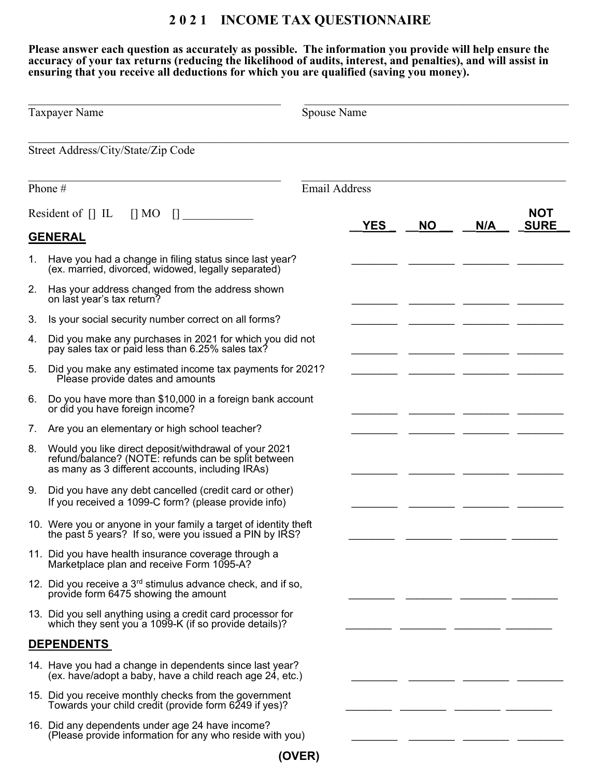## 2 0 2 1 INCOME TAX QUESTIONNAIRE

Please answer each question as accurately as possible. The information you provide will help ensure the accuracy of your tax returns (reducing the likelihood of audits, interest, and penalties), and will assist in ensuring that you receive all deductions for which you are qualified (saving you money).

| <b>Taxpayer Name</b>                            |                                                                                                                                                                  | Spouse Name |            |           |     |                           |  |  |
|-------------------------------------------------|------------------------------------------------------------------------------------------------------------------------------------------------------------------|-------------|------------|-----------|-----|---------------------------|--|--|
|                                                 | Street Address/City/State/Zip Code                                                                                                                               |             |            |           |     |                           |  |  |
| <b>Email Address</b><br>Phone #                 |                                                                                                                                                                  |             |            |           |     |                           |  |  |
| Resident of $\prod$ IL<br>$\prod$ MO<br>$\prod$ |                                                                                                                                                                  |             | <b>YES</b> | <b>NO</b> | N/A | <b>NOT</b><br><b>SURE</b> |  |  |
|                                                 | <b>GENERAL</b>                                                                                                                                                   |             |            |           |     |                           |  |  |
| 1.                                              | Have you had a change in filing status since last year?<br>(ex. married, divorced, widowed, legally separated)                                                   |             |            |           |     |                           |  |  |
| 2.                                              | Has your address changed from the address shown<br>on last year's tax return?                                                                                    |             |            |           |     |                           |  |  |
| 3.                                              | Is your social security number correct on all forms?                                                                                                             |             |            |           |     |                           |  |  |
| 4.                                              | Did you make any purchases in 2021 for which you did not<br>pay sales tax or paid less than 6.25% sales tax?                                                     |             |            |           |     |                           |  |  |
| 5.                                              | Did you make any estimated income tax payments for 2021?<br>Please provide dates and amounts                                                                     |             |            |           |     |                           |  |  |
| 6.                                              | Do you have more than \$10,000 in a foreign bank account<br>or did you have foreign income?                                                                      |             |            |           |     |                           |  |  |
| 7.                                              | Are you an elementary or high school teacher?                                                                                                                    |             |            |           |     |                           |  |  |
| 8.                                              | Would you like direct deposit/withdrawal of your 2021<br>refund/balance? (NOTE: refunds can be split between<br>as many as 3 different accounts, including IRAs) |             |            |           |     |                           |  |  |
| 9.                                              | Did you have any debt cancelled (credit card or other)<br>If you received a 1099-C form? (please provide info)                                                   |             |            |           |     |                           |  |  |
|                                                 | 10. Were you or anyone in your family a target of identity theft<br>the past 5 years? If so, were you issued a PIN by IRS?                                       |             |            |           |     |                           |  |  |
|                                                 | 11. Did you have health insurance coverage through a<br>Marketplace plan and receive Form 1095-A?                                                                |             |            |           |     |                           |  |  |
|                                                 | 12. Did you receive a $3rd$ stimulus advance check, and if so,<br>provide form 6475 showing the amount                                                           |             |            |           |     |                           |  |  |
|                                                 | 13. Did you sell anything using a credit card processor for<br>which they sent you a 1099-K (if so provide details)?                                             |             |            |           |     |                           |  |  |
|                                                 | <b>DEPENDENTS</b>                                                                                                                                                |             |            |           |     |                           |  |  |
|                                                 | 14. Have you had a change in dependents since last year?<br>(ex. have/adopt a baby, have a child reach age 24, etc.)                                             |             |            |           |     |                           |  |  |
|                                                 | 15. Did you receive monthly checks from the government<br>Towards your child credit (provide form 6249 if yes)?                                                  |             |            |           |     |                           |  |  |
|                                                 | 16. Did any dependents under age 24 have income?<br>(Please provide information for any who reside with you)                                                     |             |            |           |     |                           |  |  |

(OVER)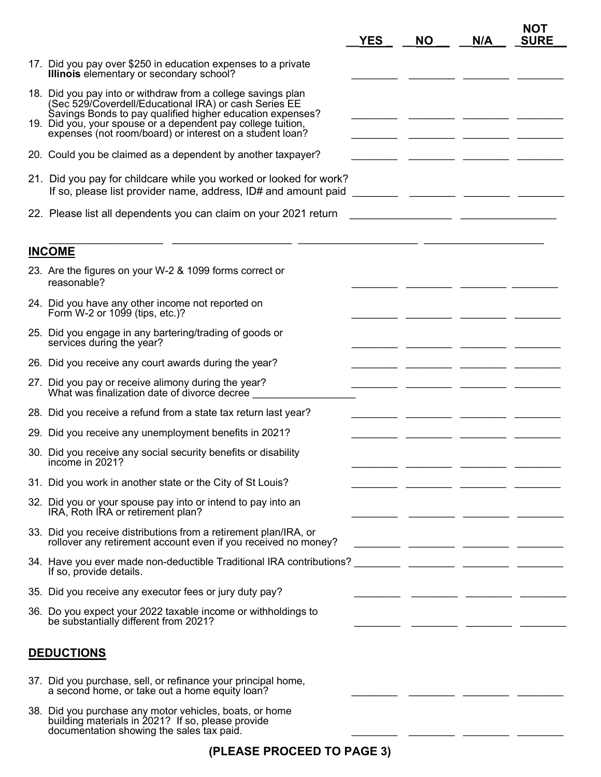|                   |                                                                                                                                                                                                                                                                                                                | <b>YES</b> | <b>NO</b> | N/A                                                                | <b>NOT</b><br><b>SURE</b>                                |
|-------------------|----------------------------------------------------------------------------------------------------------------------------------------------------------------------------------------------------------------------------------------------------------------------------------------------------------------|------------|-----------|--------------------------------------------------------------------|----------------------------------------------------------|
|                   | 17. Did you pay over \$250 in education expenses to a private<br>Illinois elementary or secondary school?                                                                                                                                                                                                      |            |           |                                                                    |                                                          |
|                   | 18. Did you pay into or withdraw from a college savings plan<br>(Sec 529/Coverdell/Educational IRA) or cash Series EE<br>Savings Bonds to pay qualified higher education expenses?<br>19. Did you, your spouse or a dependent pay college tuition,<br>expenses (not room/board) or interest on a student loan? |            |           |                                                                    |                                                          |
|                   | 20. Could you be claimed as a dependent by another taxpayer?                                                                                                                                                                                                                                                   |            |           |                                                                    |                                                          |
|                   | 21. Did you pay for childcare while you worked or looked for work?<br>If so, please list provider name, address, ID# and amount paid                                                                                                                                                                           |            |           |                                                                    |                                                          |
|                   | 22. Please list all dependents you can claim on your 2021 return                                                                                                                                                                                                                                               |            |           | <u> 1989 - Johann John Stein, mars an deutscher Stein († 1908)</u> |                                                          |
|                   | <b>INCOME</b>                                                                                                                                                                                                                                                                                                  |            |           |                                                                    |                                                          |
|                   | 23. Are the figures on your W-2 & 1099 forms correct or<br>reasonable?                                                                                                                                                                                                                                         |            |           |                                                                    |                                                          |
|                   | 24. Did you have any other income not reported on<br>Form W-2 or 1099 (tips, etc.)?                                                                                                                                                                                                                            |            |           |                                                                    |                                                          |
|                   | 25. Did you engage in any bartering/trading of goods or<br>services during the year?                                                                                                                                                                                                                           |            |           |                                                                    |                                                          |
|                   | 26. Did you receive any court awards during the year?                                                                                                                                                                                                                                                          |            |           |                                                                    |                                                          |
|                   | 27. Did you pay or receive alimony during the year?<br>What was finalization date of divorce decree                                                                                                                                                                                                            |            |           |                                                                    |                                                          |
|                   | 28. Did you receive a refund from a state tax return last year?                                                                                                                                                                                                                                                |            |           |                                                                    |                                                          |
|                   | 29. Did you receive any unemployment benefits in 2021?                                                                                                                                                                                                                                                         |            |           |                                                                    |                                                          |
|                   | 30. Did you receive any social security benefits or disability<br>income in 2021?                                                                                                                                                                                                                              |            |           |                                                                    |                                                          |
|                   | 31. Did you work in another state or the City of St Louis?                                                                                                                                                                                                                                                     |            |           |                                                                    |                                                          |
|                   | 32. Did you or your spouse pay into or intend to pay into an<br>IRA, Roth IRA or retirement plan?                                                                                                                                                                                                              |            |           |                                                                    |                                                          |
|                   | 33. Did you receive distributions from a retirement plan/IRA, or<br>rollover any retirement account even if you received no money?                                                                                                                                                                             |            |           |                                                                    |                                                          |
|                   | 34. Have you ever made non-deductible Traditional IRA contributions?<br>If so, provide details.                                                                                                                                                                                                                |            |           |                                                                    | <u> 1989 - Johann John Stone, mars eta biztanleria (</u> |
|                   | 35. Did you receive any executor fees or jury duty pay?                                                                                                                                                                                                                                                        |            |           |                                                                    |                                                          |
|                   | 36. Do you expect your 2022 taxable income or withholdings to<br>be substantially different from 2021?                                                                                                                                                                                                         |            |           |                                                                    |                                                          |
| <b>DEDUCTIONS</b> |                                                                                                                                                                                                                                                                                                                |            |           |                                                                    |                                                          |
|                   | 37. Did you purchase, sell, or refinance your principal home,<br>a second home, or take out a home equity loan?                                                                                                                                                                                                |            |           |                                                                    |                                                          |
|                   | 38. Did you purchase any motor vehicles, boats, or home<br>building materials in 2021? If so, please provide<br>documentation showing the sales tax paid.                                                                                                                                                      |            |           |                                                                    |                                                          |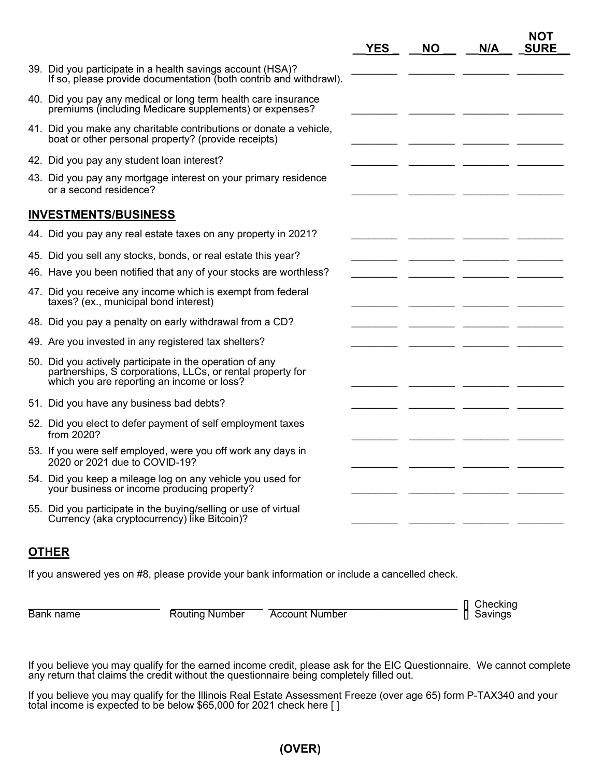|                                                                                                                                                                      | <b>YES</b> | <b>NO</b> | N/A | NOT<br><b>SURE</b> |
|----------------------------------------------------------------------------------------------------------------------------------------------------------------------|------------|-----------|-----|--------------------|
| 39. Did you participate in a health savings account (HSA)?<br>If so, please provide documentation (both contrib and withdrawl).                                      |            |           |     |                    |
| 40. Did you pay any medical or long term health care insurance<br>premiums (including Medicare supplements) or expenses?                                             |            |           |     |                    |
| 41. Did you make any charitable contributions or donate a vehicle,<br>boat or other personal property? (provide receipts)                                            |            |           |     |                    |
| 42. Did you pay any student loan interest?                                                                                                                           |            |           |     |                    |
| 43. Did you pay any mortgage interest on your primary residence<br>or a second residence?                                                                            |            |           |     |                    |
| <b>INVESTMENTS/BUSINESS</b>                                                                                                                                          |            |           |     |                    |
| 44. Did you pay any real estate taxes on any property in 2021?                                                                                                       |            |           |     |                    |
| 45. Did you sell any stocks, bonds, or real estate this year?                                                                                                        |            |           |     |                    |
| 46. Have you been notified that any of your stocks are worthless?                                                                                                    |            |           |     |                    |
| 47. Did you receive any income which is exempt from federal<br>taxes? (ex., municipal bond interest)                                                                 |            |           |     |                    |
| 48. Did you pay a penalty on early withdrawal from a CD?                                                                                                             |            |           |     |                    |
| 49. Are you invested in any registered tax shelters?                                                                                                                 |            |           |     |                    |
| 50. Did you actively participate in the operation of any<br>partnerships, S corporations, LLCs, or rental property for<br>which you are reporting an income or loss? |            |           |     |                    |
| 51. Did you have any business bad debts?                                                                                                                             |            |           |     |                    |
| 52. Did you elect to defer payment of self employment taxes<br>from 2020?                                                                                            |            |           |     |                    |
| 53. If you were self employed, were you off work any days in<br>2020 or 2021 due to COVID-19?                                                                        |            |           |     |                    |
| 54. Did you keep a mileage log on any vehicle you used for<br>your business or income producing property?                                                            |            |           |     |                    |
| 55. Did you participate in the buying/selling or use of virtual<br>Currency (aka cryptocurrency) like Bitcoin)?                                                      |            |           |     |                    |

## **OTHER**

If you answered yes on #8, please provide your bank information or include a cancelled check.

**Account Number** 

Bank name The Routing Number The Count Number The Theoking [] Checking The Routing Number The Count Number The T

If you believe you may qualify for the earned income credit, please ask for the EIC Questionnaire. We cannot complete any return that claims the credit without the questionnaire being completely filled out.

If you believe you may qualify for the Illinois Real Estate Assessment Freeze (over age 65) form P-TAX340 and your total income is expected to be below \$65,000 for 2021 check here [ ]